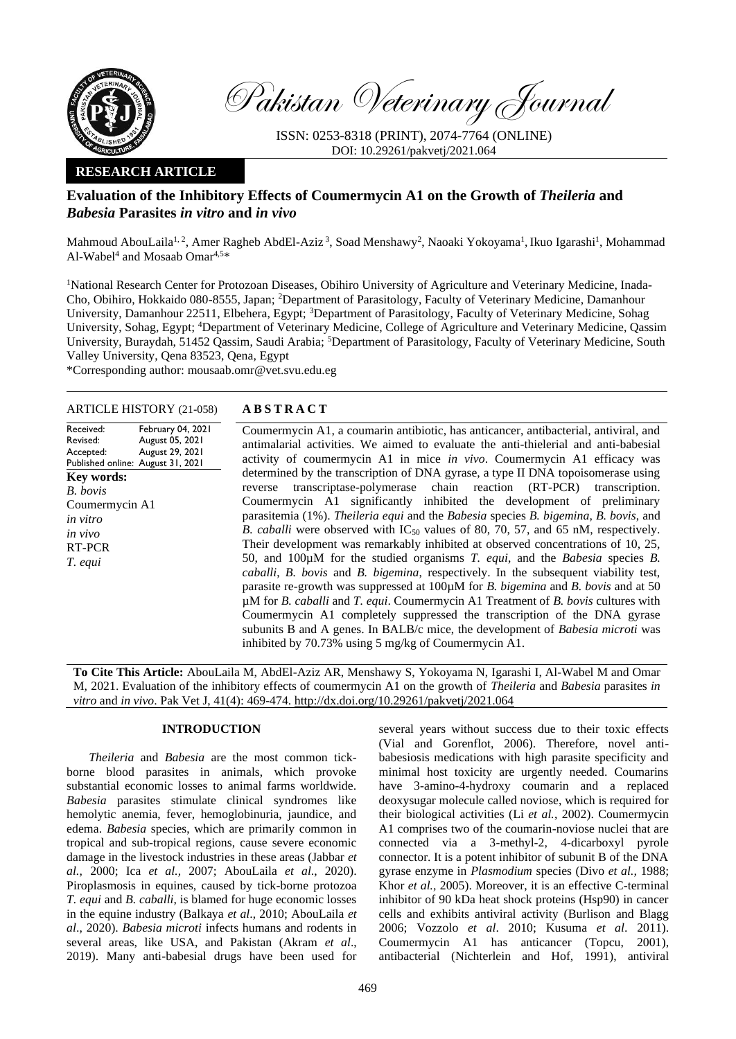

Pakistan Veterinary Journal

ISSN: 0253-8318 (PRINT), 2074-7764 (ONLINE) DOI: 10.29261/pakvetj/2021.064

## **RESEARCH ARTICLE**

# **Evaluation of the Inhibitory Effects of Coumermycin A1 on the Growth of** *Theileria* **and**  *Babesia* **Parasites** *in vitro* **and** *in vivo*

Mahmoud AbouLaila<sup>1, 2</sup>, Amer Ragheb AbdEl-Aziz <sup>3</sup>, Soad Menshawy<sup>2</sup>, Naoaki Yokoyama<sup>1</sup>, Ikuo Igarashi<sup>1</sup>, Mohammad Al-Wabel<sup>4</sup> and Mosaab Omar<sup>4,5\*</sup>

<sup>1</sup>National Research Center for Protozoan Diseases, Obihiro University of Agriculture and Veterinary Medicine, Inada-Cho, Obihiro, Hokkaido 080-8555, Japan; <sup>2</sup>Department of Parasitology, Faculty of Veterinary Medicine, Damanhour University, Damanhour 22511, Elbehera, Egypt; <sup>3</sup>Department of Parasitology, Faculty of Veterinary Medicine, Sohag University, Sohag, Egypt; <sup>4</sup>Department of Veterinary Medicine, College of Agriculture and Veterinary Medicine, Qassim University, Buraydah, 51452 Qassim, Saudi Arabia; <sup>5</sup>Department of Parasitology, Faculty of Veterinary Medicine, South Valley University, Qena 83523, Qena, Egypt

\*Corresponding author: [mousaab.omr@vet.svu.edu.eg](mailto:mousaab.omr@vet.svu.edu.eg)

## ARTICLE HISTORY (21-058) **A B S T R A C T**

Received: Revised: Accepted: Published online: August 31, 2021 February 04, 2021 August 05, 2021 August 29, 2021 **Key words:**  *B. bovis* Coumermycin A1 *in vitro in vivo* RT-PCR *T. equi*

Coumermycin A1, a coumarin antibiotic, has anticancer, antibacterial, antiviral, and antimalarial activities. We aimed to evaluate the anti-thielerial and anti-babesial activity of coumermycin A1 in mice *in vivo*. Coumermycin A1 efficacy was determined by the transcription of DNA gyrase, a type II DNA topoisomerase using reverse transcriptase-polymerase chain reaction (RT-PCR) transcription. Coumermycin A1 significantly inhibited the development of preliminary parasitemia (1%). *Theileria equi* and the *Babesia* species *B. bigemina*, *B. bovis*, and *B. caballi* were observed with IC<sub>50</sub> values of 80, 70, 57, and 65 nM, respectively. Their development was remarkably inhibited at observed concentrations of 10, 25, 50, and 100µM for the studied organisms *T. equi*, and the *Babesia* species *B. caballi*, *B. bovis* and *B. bigemina*, respectively. In the subsequent viability test, parasite re-growth was suppressed at 100µM for *B. bigemina* and *B. bovis* and at 50 µM for *B. caballi* and *T. equi*. Coumermycin A1 Treatment of *B. bovis* cultures with Coumermycin A1 completely suppressed the transcription of the DNA gyrase subunits B and A genes. In BALB/c mice, the development of *Babesia microti* was inhibited by 70.73% using 5 mg/kg of Coumermycin A1.

**To Cite This Article:** AbouLaila M, AbdEl-Aziz AR, Menshawy S, Yokoyama N, Igarashi I, Al-Wabel M and Omar M, 2021. Evaluation of the inhibitory effects of coumermycin A1 on the growth of *Theileria* and *Babesia* parasites *in vitro* and *in vivo*. Pak Vet J, 41(4): 469-474. [http://dx.doi.org/10.29261/pakvetj/2021.064](http://pvj.com.pk/pdf-files/41_4/469-474.pdf)

## **INTRODUCTION**

*Theileria* and *Babesia* are the most common tickborne blood parasites in animals, which provoke substantial economic losses to animal farms worldwide. *Babesia* parasites stimulate clinical syndromes like hemolytic anemia, fever, hemoglobinuria, jaundice, and edema. *Babesia* species, which are primarily common in tropical and sub-tropical regions, cause severe economic damage in the livestock industries in these areas (Jabbar *et al.,* 2000; Ica *et al.,* 2007; AbouLaila *et al*., 2020). Piroplasmosis in equines, caused by tick-borne protozoa *T. equi* and *B. caballi*, is blamed for huge economic losses in the equine industry (Balkaya *et al*., 2010; AbouLaila *et al*., 2020). *Babesia microti* infects humans and rodents in several areas, like USA, and Pakistan (Akram *et al*., 2019). Many anti-babesial drugs have been used for

several years without success due to their toxic effects (Vial and Gorenflot, 2006). Therefore, novel antibabesiosis medications with high parasite specificity and minimal host toxicity are urgently needed. Coumarins have 3-amino-4-hydroxy coumarin and a replaced deoxysugar molecule called noviose, which is required for their biological activities (Li *et al.*, [2002\)](file:///C:/Users/Mosaab/Desktop/Manuscript%20for%20PVJ.docx%23_30j0zll). Coumermycin A1 comprises two of the coumarin-noviose nuclei that are connected via a 3-methyl-2, 4-dicarboxyl pyrole connector. It is a potent inhibitor of subunit B of the DNA gyrase enzyme in *Plasmodium* species [\(Divo](file:///C:/Users/Mosaab/Desktop/Manuscript%20for%20PVJ.docx%23_1fob9te) *et al.,* 1988; [Khor](file:///C:/Users/Mosaab/Desktop/Manuscript%20for%20PVJ.docx%23_3znysh7) *et al.,* 2005). Moreover, it is an effective C-terminal inhibitor of 90 kDa heat shock proteins (Hsp90) in cancer cells and exhibits antiviral activity [\(Burlison and Blagg](file:///C:/Users/Mosaab/Desktop/Manuscript%20for%20PVJ.docx%23_23ckvvd)  [2006;](file:///C:/Users/Mosaab/Desktop/Manuscript%20for%20PVJ.docx%23_23ckvvd) [Vozzolo](file:///C:/Users/Mosaab/Desktop/Manuscript%20for%20PVJ.docx%23_3dy6vkm) *et al*. 2010; [Kusuma](file:///C:/Users/Mosaab/Desktop/Manuscript%20for%20PVJ.docx%23_ihv636) *et al*. 2011). Coumermycin A1 has anticancer [\(Topcu, 2001\)](file:///C:/Users/Mosaab/Desktop/Manuscript%20for%20PVJ.docx%23_2et92p0), antibacterial [\(Nichterlein and Hof, 1991\)](file:///C:/Users/Mosaab/Desktop/Manuscript%20for%20PVJ.docx%23_tyjcwt), antiviral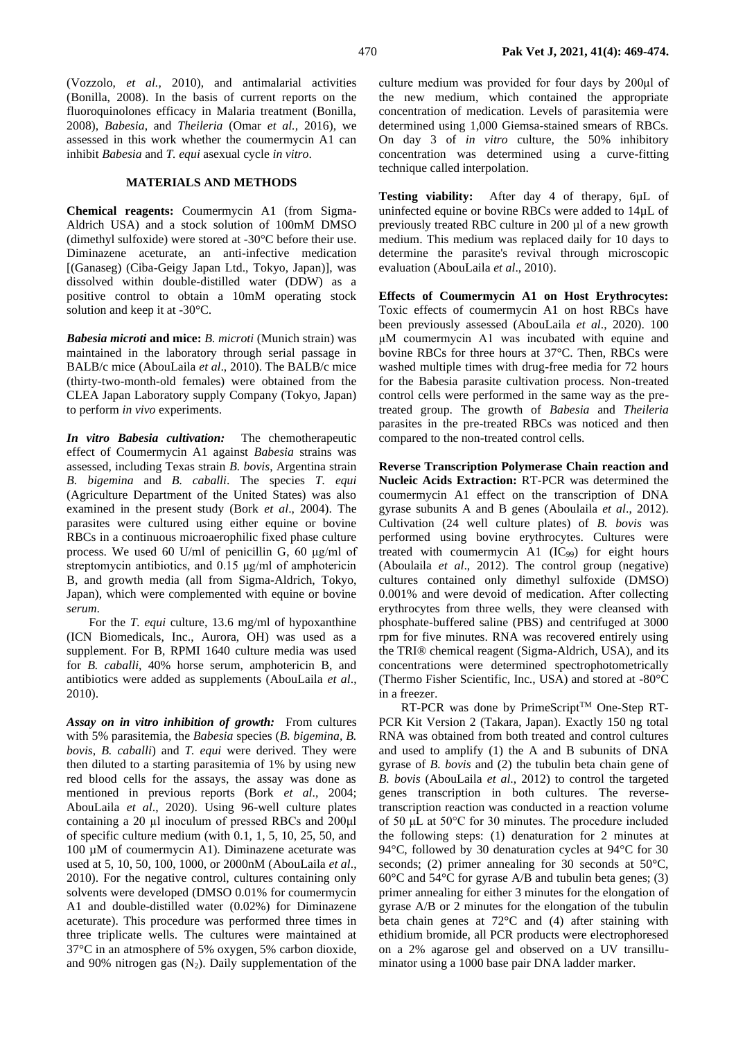[\(Vozzolo,](file:///C:/Users/Mosaab/Desktop/Manuscript%20for%20PVJ.docx%23_3dy6vkm) *et al.,* 2010), and antimalarial activities [\(Bonilla, 2008\)](file:///C:/Users/Mosaab/Desktop/Manuscript%20for%20PVJ.docx%23_1t3h5sf). In the basis of current reports on the fluoroquinolones efficacy in Malaria treatment (Bonilla, 2008), *Babesia*, and *Theileria* (Omar *et al.,* 2016), we assessed in this work whether the coumermycin A1 can inhibit *Babesia* and *T. equi* asexual cycle *in vitro*.

## **MATERIALS AND METHODS**

**Chemical reagents:** Coumermycin A1 (from Sigma-Aldrich USA) and a stock solution of 100mM DMSO (dimethyl sulfoxide) were stored at -30°C before their use. Diminazene aceturate, an anti-infective medication [(Ganaseg) (Ciba-Geigy Japan Ltd., Tokyo, Japan)], was dissolved within double-distilled water (DDW) as a positive control to obtain a 10mM operating stock solution and keep it at -30°C.

*Babesia microti* **and mice:** *B. microti* (Munich strain) was maintained in the laboratory through serial passage in BALB/c mice (AbouLaila *et al*., 2010). The BALB/c mice (thirty-two-month-old females) were obtained from the CLEA Japan Laboratory supply Company (Tokyo, Japan) to perform *in vivo* experiments.

*In vitro Babesia cultivation:* The chemotherapeutic effect of Coumermycin A1 against *Babesia* strains was assessed, including Texas strain *B. bovis*, Argentina strain *B. bigemina* and *B. caballi*. The species *T. equi*  (Agriculture Department of the United States) was also examined in the present study (Bork *et al*., 2004). The parasites were cultured using either equine or bovine RBCs in a continuous microaerophilic fixed phase culture process. We used 60 U/ml of penicillin G, 60 μg/ml of streptomycin antibiotics, and 0.15 μg/ml of amphotericin B, and growth media (all from Sigma-Aldrich, Tokyo, Japan), which were complemented with equine or bovine *serum*.

For the *T. equi* culture, 13.6 mg/ml of hypoxanthine (ICN Biomedicals, Inc., Aurora, OH) was used as a supplement. For B, RPMI 1640 culture media was used for *B. caballi*, 40% horse serum, amphotericin B, and antibiotics were added as supplements (AbouLaila *et al*., 2010).

*Assay on in vitro inhibition of growth:* From cultures with 5% parasitemia*,* the *Babesia* species (*B. bigemina, B. bovis*, *B. caballi*) and *T. equi* were derived. They were then diluted to a starting parasitemia of 1% by using new red blood cells for the assays, the assay was done as mentioned in previous reports (Bork *et al*., 2004; AbouLaila *et al*., 2020). Using 96-well culture plates containing a 20 µl inoculum of pressed RBCs and 200μl of specific culture medium (with 0.1, 1, 5, 10, 25, 50, and 100 µM of coumermycin A1). Diminazene aceturate was used at 5, 10, 50, 100, 1000, or 2000nM [\(AbouLaila](file:///C:/Users/Mosaab/Desktop/Manuscript%20for%20PVJ.docx%23_3rdcrjn) *et al*., [2010\)](file:///C:/Users/Mosaab/Desktop/Manuscript%20for%20PVJ.docx%23_3rdcrjn). For the negative control, cultures containing only solvents were developed (DMSO 0.01% for coumermycin A1 and double-distilled water (0.02%) for Diminazene aceturate). This procedure was performed three times in three triplicate wells. The cultures were maintained at 37°C in an atmosphere of 5% oxygen, 5% carbon dioxide, and 90% nitrogen gas  $(N_2)$ . Daily supplementation of the

culture medium was provided for four days by 200μl of the new medium, which contained the appropriate concentration of medication. Levels of parasitemia were determined using 1,000 Giemsa-stained smears of RBCs. On day 3 of *in vitro* culture, the 50% inhibitory concentration was determined using a curve-fitting technique called interpolation.

**Testing viability:** After day 4 of therapy, 6µL of uninfected equine or bovine RBCs were added to 14µL of previously treated RBC culture in 200 µl of a new growth medium. This medium was replaced daily for 10 days to determine the parasite's revival through microscopic evaluation (AbouLaila *et al*., 2010).

**Effects of Coumermycin A1 on Host Erythrocytes:** Toxic effects of coumermycin A1 on host RBCs have been previously assessed (AbouLaila *et al*., 2020). 100 μM coumermycin A1 was incubated with equine and bovine RBCs for three hours at 37°C. Then, RBCs were washed multiple times with drug-free media for 72 hours for the Babesia parasite cultivation process. Non-treated control cells were performed in the same way as the pretreated group. The growth of *Babesia* and *Theileria* parasites in the pre-treated RBCs was noticed and then compared to the non-treated control cells.

**Reverse Transcription Polymerase Chain reaction and Nucleic Acids Extraction:** RT-PCR was determined the coumermycin A1 effect on the transcription of DNA gyrase subunits A and B genes [\(Aboulaila](file:///C:/Users/Mosaab/Desktop/Manuscript%20for%20PVJ.docx%23_26in1rg) *et al*., 2012). Cultivation (24 well culture plates) of *B. bovis* was performed using bovine erythrocytes. Cultures were treated with coumermycin A1 (IC<sub>99</sub>) for eight hours (Aboulaila *et al*., 2012). The control group (negative) cultures contained only dimethyl sulfoxide (DMSO) 0.001% and were devoid of medication. After collecting erythrocytes from three wells, they were cleansed with phosphate-buffered saline (PBS) and centrifuged at 3000 rpm for five minutes. RNA was recovered entirely using the TRI® chemical reagent (Sigma-Aldrich, USA), and its concentrations were determined spectrophotometrically (Thermo Fisher Scientific, Inc., USA) and stored at -80°C in a freezer.

RT-PCR was done by PrimeScript<sup>TM</sup> One-Step RT-PCR Kit Version 2 (Takara, Japan). Exactly 150 ng total RNA was obtained from both treated and control cultures and used to amplify (1) the A and B subunits of DNA gyrase of *B. bovis* and (2) the tubulin beta chain gene of *B. bovis* [\(AbouLaila](file:///C:/Users/Mosaab/Desktop/Manuscript%20for%20PVJ.docx%23_26in1rg) *et al*., 2012) to control the targeted genes transcription in both cultures. The reversetranscription reaction was conducted in a reaction volume of 50 μL at 50°C for 30 minutes. The procedure included the following steps: (1) denaturation for 2 minutes at 94°C, followed by 30 denaturation cycles at 94°C for 30 seconds; (2) primer annealing for 30 seconds at 50°C, 60°C and 54°C for gyrase A/B and tubulin beta genes; (3) primer annealing for either 3 minutes for the elongation of gyrase A/B or 2 minutes for the elongation of the tubulin beta chain genes at 72°C and (4) after staining with ethidium bromide, all PCR products were electrophoresed on a 2% agarose gel and observed on a UV transilluminator using a 1000 base pair DNA ladder marker.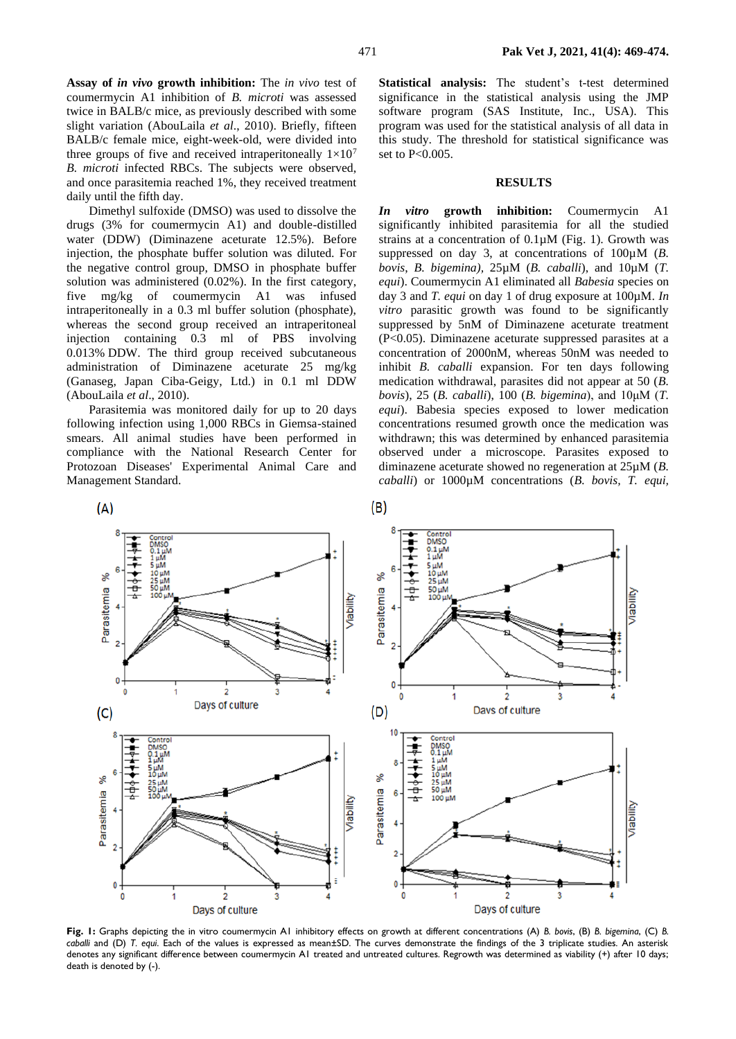**Assay of** *in vivo* **growth inhibition:** The *in vivo* test of coumermycin A1 inhibition of *B. microti* was assessed twice in BALB/c mice, as previously described with some slight variation [\(AbouLaila](file:///C:/Users/Mosaab/Desktop/Manuscript%20for%20PVJ.docx%23_3rdcrjn) *et al*., 2010). Briefly, fifteen BALB/c female mice, eight-week-old, were divided into three groups of five and received intraperitoneally  $1\times10^7$ *B. microti* infected RBCs. The subjects were observed, and once parasitemia reached 1%, they received treatment daily until the fifth day.

Dimethyl sulfoxide (DMSO) was used to dissolve the drugs (3% for coumermycin A1) and double-distilled water (DDW) (Diminazene aceturate 12.5%). Before injection, the phosphate buffer solution was diluted. For the negative control group, DMSO in phosphate buffer solution was administered (0.02%). In the first category, five mg/kg of coumermycin A1 was infused intraperitoneally in a 0.3 ml buffer solution (phosphate), whereas the second group received an intraperitoneal injection containing 0.3 ml of PBS involving 0.013% DDW. The third group received subcutaneous administration of Diminazene aceturate 25 mg/kg (Ganaseg, Japan Ciba-Geigy, Ltd.) in 0.1 ml DDW (AbouLaila *et al*., 2010).

Parasitemia was monitored daily for up to 20 days following infection using 1,000 RBCs in Giemsa-stained smears. All animal studies have been performed in compliance with the National Research Center for Protozoan Diseases' Experimental Animal Care and Management Standard.

 $(A)$ 

/lability

Aability

**Statistical analysis:** The student's t-test determined significance in the statistical analysis using the JMP software program (SAS Institute, Inc., USA). This program was used for the statistical analysis of all data in this study. The threshold for statistical significance was set to P<0.005.

## **RESULTS**

*In vitro* **growth inhibition:** Coumermycin A1 significantly inhibited parasitemia for all the studied strains at a concentration of 0.1µM (Fig. 1). Growth was suppressed on day 3, at concentrations of 100µM (*B. bovis*, *B. bigemina),* 25µM (*B. caballi*), and 10µM (*T. equi*). Coumermycin A1 eliminated all *Babesia* species on day 3 and *T. equi* on day 1 of drug exposure at 100µM. *In vitro* parasitic growth was found to be significantly suppressed by 5nM of Diminazene aceturate treatment (P<0.05). Diminazene aceturate suppressed parasites at a concentration of 2000nM, whereas 50nM was needed to inhibit *B. caballi* expansion. For ten days following medication withdrawal, parasites did not appear at 50 (*B. bovis*), 25 (*B. caballi*), 100 (*B. bigemina*), and 10μM (*T. equi*). Babesia species exposed to lower medication concentrations resumed growth once the medication was withdrawn; this was determined by enhanced parasitemia observed under a microscope. Parasites exposed to diminazene aceturate showed no regeneration at 25µM (*B. caballi*) or 1000µM concentrations (*B. bovis, T. equi,* 

శ్ s. 52 eimetisene Parasitemia **/ability**  $\theta$  $\overline{2}$  $\overline{1}$  $\overline{2}$  $\overline{1}$ 3 Days of culture Davs of culture  $(D)$  $(C)$  $0.1\mu M$   $1\mu M$   $5\mu M$   $10\mu M$   $25\mu M$   $50\mu M$   $50\mu M$ m శ క్ Parasitemia 6 Parasitemia  $100u$ **Allider**  $\mathbf 0$ 1  $\overline{\mathbf{c}}$  $\overline{2}$ Days of culture Days of culture

 $(B)$ 

**Fig. 1:** Graphs depicting the in vitro coumermycin A1 inhibitory effects on growth at different concentrations (A) *B. bovis*, (B) *B. bigemina*, (C) *B. caballi* and (D) *T. equi*. Each of the values is expressed as mean±SD. The curves demonstrate the findings of the 3 triplicate studies. An asterisk denotes any significant difference between coumermycin A1 treated and untreated cultures. Regrowth was determined as viability (+) after 10 days; death is denoted by (-).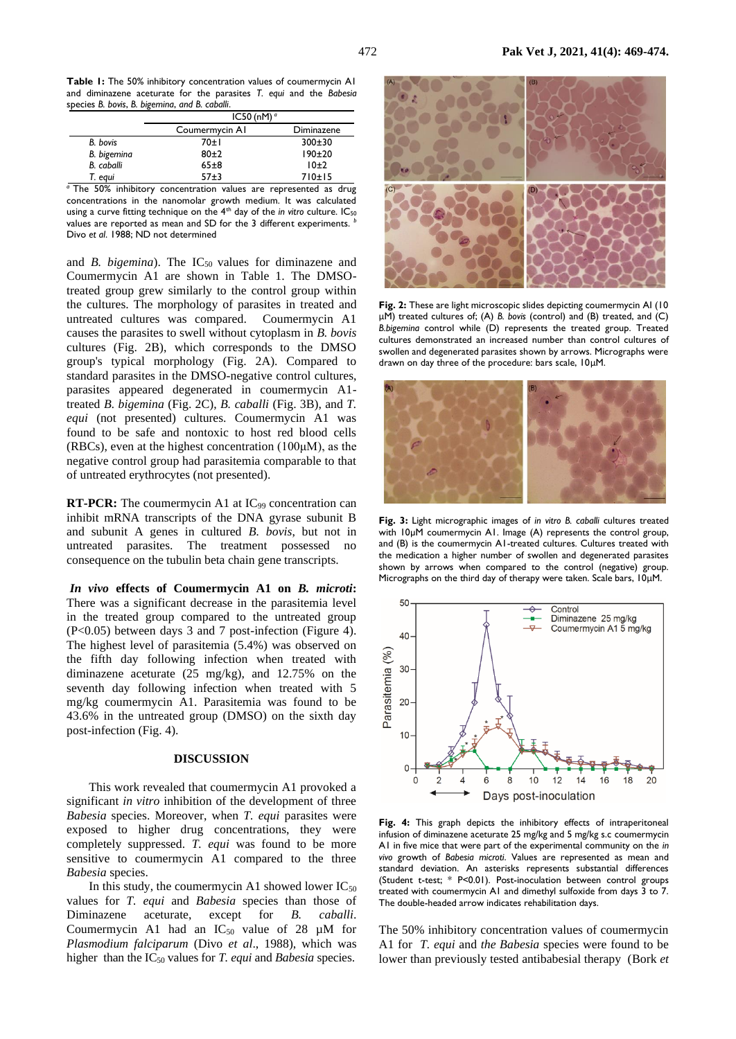**Table 1:** The 50% inhibitory concentration values of coumermycin A1 and diminazene aceturate for the parasites *T. equi* and the *Babesia*  species *B. bovis*, *B. bigemina*, *and B. caballi*.

|                           | IC50 (nM) $^{\circ}$ |            |
|---------------------------|----------------------|------------|
|                           | Coumermycin AI       | Diminazene |
| B. bovis                  | 70±1                 | 300±30     |
| B. bigemina               | $80+2$               | 190±20     |
| B. caballi                | $65 + 8$             | 10±2       |
| T. egui                   | $57+3$               | 710±15     |
| $\sim$ $-1$<br><b>FAM</b> |                      | . .        |

*<sup>a</sup>*The 50% inhibitory concentration values are represented as drug concentrations in the nanomolar growth medium. It was calculated using a curve fitting technique on the 4<sup>th</sup> day of the *in vitro* culture. IC<sub>50</sub> values are reported as mean and SD for the 3 different experiments. *<sup>b</sup>* Divo *et al*. 1988; ND not determined

and *B. bigemina*). The IC<sub>50</sub> values for diminazene and Coumermycin A1 are shown in Table 1. The DMSOtreated group grew similarly to the control group within the cultures. The morphology of parasites in treated and untreated cultures was compared. Coumermycin A1 causes the parasites to swell without cytoplasm in *B. bovis* cultures (Fig. 2B), which corresponds to the DMSO group's typical morphology (Fig. 2A). Compared to standard parasites in the DMSO-negative control cultures, parasites appeared degenerated in coumermycin A1 treated *B. bigemina* (Fig. 2C), *B. caballi* (Fig. 3B), and *T. equi* (not presented) cultures. Coumermycin A1 was found to be safe and nontoxic to host red blood cells (RBCs), even at the highest concentration (100μM), as the negative control group had parasitemia comparable to that of untreated erythrocytes (not presented).

**RT-PCR:** The coumermycin A1 at IC<sub>99</sub> concentration can inhibit mRNA transcripts of the DNA gyrase subunit B and subunit A genes in cultured *B. bovis*, but not in untreated parasites. The treatment possessed no consequence on the tubulin beta chain gene transcripts.

*In vivo* **effects of Coumermycin A1 on** *B. microti***:** There was a significant decrease in the parasitemia level in the treated group compared to the untreated group (P<0.05) between days 3 and 7 post-infection (Figure 4). The highest level of parasitemia (5.4%) was observed on the fifth day following infection when treated with diminazene aceturate (25 mg/kg), and 12.75% on the seventh day following infection when treated with 5 mg/kg coumermycin A1. Parasitemia was found to be 43.6% in the untreated group (DMSO) on the sixth day post-infection (Fig. 4).

#### **DISCUSSION**

This work revealed that coumermycin A1 provoked a significant *in vitro* inhibition of the development of three *Babesia* species. Moreover, when *T. equi* parasites were exposed to higher drug concentrations, they were completely suppressed. *T. equi* was found to be more sensitive to coumermycin A1 compared to the three *Babesia* species.

In this study, the coumermycin A1 showed lower  $IC_{50}$ values for *T. equi* and *Babesia* species than those of Diminazene aceturate, except for *B. caballi*. Coumermycin A1 had an  $IC_{50}$  value of 28  $\mu$ M for *Plasmodium falciparum* (Divo *et al*., 1988), which was higher than the IC<sup>50</sup> values for *T. equi* and *Babesia* species.



**Fig. 2:** These are light microscopic slides depicting coumermycin AI (10 μM) treated cultures of; (A) *B. bovis* (control) and (B) treated, and (C) *B.bigemina* control while (D) represents the treated group. Treated cultures demonstrated an increased number than control cultures of swollen and degenerated parasites shown by arrows. Micrographs were drawn on day three of the procedure: bars scale, 10μM.



**Fig. 3:** Light micrographic images of *in vitro B. caballi* cultures treated with  $10\mu$ M coumermycin A1. Image (A) represents the control group, and (B) is the coumermycin A1-treated cultures. Cultures treated with the medication a higher number of swollen and degenerated parasites shown by arrows when compared to the control (negative) group. Micrographs on the third day of therapy were taken. Scale bars, 10μM.



**Fig. 4:** This graph depicts the inhibitory effects of intraperitoneal infusion of diminazene aceturate 25 mg/kg and 5 mg/kg s.c coumermycin A1 in five mice that were part of the experimental community on the *in vivo* growth of *Babesia microti*. Values are represented as mean and standard deviation. An asterisks represents substantial differences (Student t-test; \* P<0.01). Post-inoculation between control groups treated with coumermycin A1 and dimethyl sulfoxide from days 3 to 7. The double-headed arrow indicates rehabilitation days.

The 50% inhibitory concentration values of coumermycin A1 for *T. equi* and *the Babesia* species were found to be lower than previously tested antibabesial therapy [\(Bork](file:///C:/Users/Mosaab/Desktop/Manuscript%20for%20PVJ.docx%23_1ksv4uv) *et*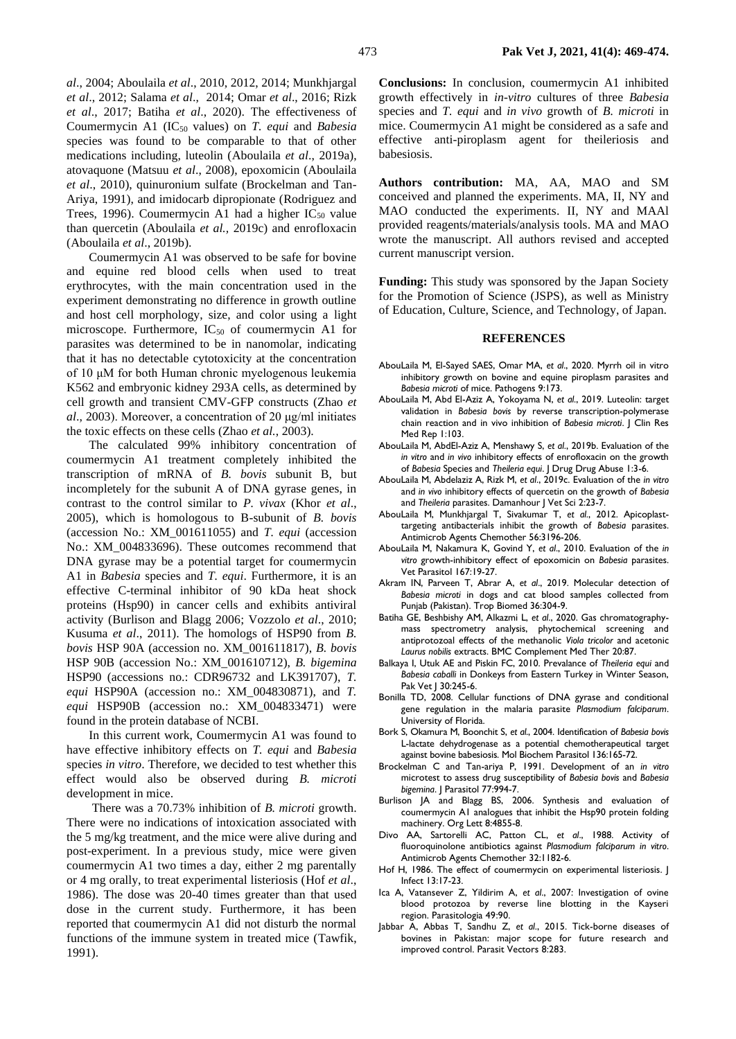*al*[., 2004;](file:///C:/Users/Mosaab/Desktop/Manuscript%20for%20PVJ.docx%23_1ksv4uv) [Aboulaila](file:///C:/Users/Mosaab/Desktop/Manuscript%20for%20PVJ.docx%23_4d34og8) *et al*., 2010, 2012, 2014; [Munkhjargal](file:///C:/Users/Mosaab/Desktop/Manuscript%20for%20PVJ.docx%23_3j2qqm3)  *et al*[., 2012;](file:///C:/Users/Mosaab/Desktop/Manuscript%20for%20PVJ.docx%23_3j2qqm3) [Salama](file:///C:/Users/Mosaab/Desktop/Manuscript%20for%20PVJ.docx%23_1y810tw) *et al*., 2014; Omar *et al*[., 2016;](file:///C:/Users/Mosaab/Desktop/Manuscript%20for%20PVJ.docx%23_2xcytpi) [Rizk](file:///C:/Users/Mosaab/Desktop/Manuscript%20for%20PVJ.docx%23_1ci93xb)  *et al*[., 2017;](file:///C:/Users/Mosaab/Desktop/Manuscript%20for%20PVJ.docx%23_1ci93xb) Batiha *et al*[., 2020\)](file:///C:/Users/Mosaab/Desktop/Manuscript%20for%20PVJ.docx%23_3whwml4). The effectiveness of Coumermycin A1 (IC<sup>50</sup> values) on *T. equi* and *Babesia*  species was found to be comparable to that of other medications including, luteolin [\(Aboulaila](file:///C:/Users/Mosaab/Desktop/Manuscript%20for%20PVJ.docx%23_2bn6wsx) *et al*., 2019a), atovaquone [\(Matsuu](file:///C:/Users/Mosaab/Desktop/Manuscript%20for%20PVJ.docx%23_qsh70q) *et al*., 2008), epoxomicin [\(Aboulaila](file:///C:/Users/Mosaab/Desktop/Manuscript%20for%20PVJ.docx%23_3rdcrjn)  *et al*[., 2010\)](file:///C:/Users/Mosaab/Desktop/Manuscript%20for%20PVJ.docx%23_3rdcrjn), quinuronium sulfate [\(Brockelman and Tan-](file:///C:/Users/Mosaab/Desktop/Manuscript%20for%20PVJ.docx%23_3as4poj)[Ariya, 1991\)](file:///C:/Users/Mosaab/Desktop/Manuscript%20for%20PVJ.docx%23_3as4poj), and imidocarb dipropionate [\(Rodriguez and](file:///C:/Users/Mosaab/Desktop/Manuscript%20for%20PVJ.docx%23_1pxezwc)  [Trees, 1996\)](file:///C:/Users/Mosaab/Desktop/Manuscript%20for%20PVJ.docx%23_1pxezwc). Coumermycin A1 had a higher  $IC_{50}$  value than quercetin [\(Aboulaila](file:///C:/Users/Mosaab/Desktop/Manuscript%20for%20PVJ.docx%23_49x2ik5) *et al.,* 2019c) and enrofloxacin [\(Aboulaila](file:///C:/Users/Mosaab/Desktop/Manuscript%20for%20PVJ.docx%23_2p2csry) *et al*., 2019b).

Coumermycin A1 was observed to be safe for bovine and equine red blood cells when used to treat erythrocytes, with the main concentration used in the experiment demonstrating no difference in growth outline and host cell morphology, size, and color using a light microscope. Furthermore,  $IC_{50}$  of coumermycin A1 for parasites was determined to be in nanomolar, indicating that it has no detectable cytotoxicity at the concentration of 10 μM for both Human chronic myelogenous leukemia K562 and embryonic kidney 293A cells, as determined by cell growth and transient CMV-GFP constructs [\(Zhao](file:///C:/Users/Mosaab/Desktop/Manuscript%20for%20PVJ.docx%23_147n2zr) *et al*[., 2003\)](file:///C:/Users/Mosaab/Desktop/Manuscript%20for%20PVJ.docx%23_147n2zr). Moreover, a concentration of 20 μg/ml initiates the toxic effects on these cells (Zhao *et al.*[, 2003\)](file:///C:/Users/Mosaab/Desktop/Manuscript%20for%20PVJ.docx%23_147n2zr).

The calculated 99% inhibitory concentration of coumermycin A1 treatment completely inhibited the transcription of mRNA of *B. bovis* subunit B, but incompletely for the subunit A of DNA gyrase genes, in contrast to the control similar to *P. vivax* [\(Khor](file:///C:/Users/Mosaab/Desktop/Manuscript%20for%20PVJ.docx%23_3o7alnk) *et al*., [2005\)](file:///C:/Users/Mosaab/Desktop/Manuscript%20for%20PVJ.docx%23_3o7alnk), which is homologous to B-subunit of *B. bovis* (accession No.: XM\_001611055) and *T. equi* (accession No.: XM\_004833696). These outcomes recommend that DNA gyrase may be a potential target for coumermycin A1 in *Babesia* species and *T. equi*. Furthermore, it is an effective C-terminal inhibitor of 90 kDa heat shock proteins (Hsp90) in cancer cells and exhibits antiviral activity [\(Burlison and Blagg 2006;](file:///C:/Users/Mosaab/Desktop/Manuscript%20for%20PVJ.docx%23_23ckvvd) [Vozzolo](file:///C:/Users/Mosaab/Desktop/Manuscript%20for%20PVJ.docx%23_3dy6vkm) *et al*., 2010; [Kusuma](file:///C:/Users/Mosaab/Desktop/Manuscript%20for%20PVJ.docx%23_ihv636) *et al*., 2011). The homologs of HSP90 from *B. bovis* HSP 90A (accession no. XM\_001611817), *B. bovis* HSP 90B (accession No.: XM\_001610712), *B. bigemina* HSP90 (accessions no.: CDR96732 and LK391707), *T. equi* HSP90A (accession no.: XM\_004830871), and *T. equi* HSP90B (accession no.: XM\_004833471) were found in the protein database of NCBI.

In this current work, Coumermycin A1 was found to have effective inhibitory effects on *T. equi* and *Babesia* species *in vitro*. Therefore, we decided to test whether this effect would also be observed during *B. microti* development in mice.

There was a 70.73% inhibition of *B. microti* growth. There were no indications of intoxication associated with the 5 mg/kg treatment, and the mice were alive during and post-experiment. In a previous study, mice were given coumermycin A1 two times a day, either 2 mg parentally or 4 mg orally, to treat experimental listeriosis [\(Hof](file:///C:/Users/Mosaab/Desktop/Manuscript%20for%20PVJ.docx%23_1hmsyys) *et al*., [1986\)](file:///C:/Users/Mosaab/Desktop/Manuscript%20for%20PVJ.docx%23_1hmsyys). The dose was 20-40 times greater than that used dose in the current study. Furthermore, it has been reported that coumermycin A1 did not disturb the normal functions of the immune system in treated mice [\(Tawfik,](file:///C:/Users/Mosaab/Desktop/Manuscript%20for%20PVJ.docx%23_41mghml)  [1991\)](file:///C:/Users/Mosaab/Desktop/Manuscript%20for%20PVJ.docx%23_41mghml).

**Conclusions:** In conclusion, coumermycin A1 inhibited growth effectively in *in-vitro* cultures of three *Babesia* species and *T. equi* and *in vivo* growth of *B. microti* in mice. Coumermycin A1 might be considered as a safe and effective anti-piroplasm agent for theileriosis and babesiosis.

**Authors contribution:** MA, AA, MAO and SM conceived and planned the experiments. MA, II, NY and MAO conducted the experiments. II, NY and MAAl provided reagents/materials/analysis tools. MA and MAO wrote the manuscript. All authors revised and accepted current manuscript version.

Funding: This study was sponsored by the Japan Society for the Promotion of Science (JSPS), as well as Ministry of Education, Culture, Science, and Technology, of Japan.

### **REFERENCES**

- AbouLaila M, El-Sayed SAES, Omar MA, *et al*., 2020. Myrrh oil in vitro inhibitory growth on bovine and equine piroplasm parasites and *Babesia microti* of mice. Pathogens 9:173.
- AbouLaila M, Abd El-Aziz A, Yokoyama N, *et al*., 2019. Luteolin: target validation in *Babesia bovis* by reverse transcription-polymerase chain reaction and in vivo inhibition of *Babesia microti*. J Clin Res Med Rep 1:103.
- AbouLaila M, AbdEl-Aziz A, Menshawy S, *et al*., 2019b. Evaluation of the *in vitro* and *in vivo* inhibitory effects of enrofloxacin on the growth of *Babesia* Species and *Theileria equi*. J Drug Drug Abuse 1:3-6.
- AbouLaila M, Abdelaziz A, Rizk M, *et al*., 2019c. Evaluation of the *in vitro* and *in vivo* inhibitory effects of quercetin on the growth of *Babesia* and *Theileria* parasites. Damanhour J Vet Sci 2:23-7.
- AbouLaila M, Munkhjargal T, Sivakumar T, *et al*., 2012. Apicoplasttargeting antibacterials inhibit the growth of *Babesia* parasites. Antimicrob Agents Chemother 56:3196-206.
- AbouLaila M, Nakamura K, Govind Y, *et al*., 2010. Evaluation of the *in vitro* growth-inhibitory effect of epoxomicin on *Babesia* parasites. Vet Parasitol 167:19-27.
- Akram IN, Parveen T, Abrar A, *et al*., 2019. Molecular detection of *Babesia microti* in dogs and cat blood samples collected from Punjab (Pakistan). Trop Biomed 36:304-9.
- Batiha GE, Beshbishy AM, Alkazmi L, *et al*., 2020. Gas chromatographymass spectrometry analysis, phytochemical screening and antiprotozoal effects of the methanolic *Viola tricolor* and acetonic *Laurus nobilis* extracts. BMC Complement Med Ther 20:87.
- Balkaya I, Utuk AE and Piskin FC, 2010. Prevalance of *Theileria equi* and *Babesia caballi* in Donkeys from Eastern Turkey in Winter Season, Pak Vet | 30:245-6.
- Bonilla TD, 2008. Cellular functions of DNA gyrase and conditional gene regulation in the malaria parasite *Plasmodium falciparum*. University of Florida.
- Bork S, Okamura M, Boonchit S, *et al*., 2004. Identification of *Babesia bovis* L-lactate dehydrogenase as a potential chemotherapeutical target against bovine babesiosis. Mol Biochem Parasitol 136:165-72.
- Brockelman C and Tan-ariya P, 1991. Development of an *in vitro* microtest to assess drug susceptibility of *Babesia bovis* and *Babesia bigemina*. J Parasitol 77:994-7.
- Burlison JA and Blagg BS, 2006. Synthesis and evaluation of coumermycin A1 analogues that inhibit the Hsp90 protein folding machinery. Org Lett 8:4855-8.
- Divo AA, Sartorelli AC, Patton CL, *et al*., 1988. Activity of fluoroquinolone antibiotics against *Plasmodium falciparum in vitro*. Antimicrob Agents Chemother 32:1182-6.
- Hof H, 1986. The effect of coumermycin on experimental listeriosis. J Infect 13:17-23.
- Ica A, Vatansever Z, Yildirim A, *et al*., 2007: Investigation of ovine blood protozoa by reverse line blotting in the Kayseri region. Parasitologia 49:90.
- Jabbar A, Abbas T, Sandhu [Z,](https://www.ncbi.nlm.nih.gov/pubmed/?term=Sandhu%20Zu%5BAuthor%5D&cauthor=true&cauthor_uid=25994588) *et al*., 2015. Tick-borne diseases of bovines in Pakistan: major scope for future research and improved control[. Parasit Vectors](https://www.ncbi.nlm.nih.gov/pmc/articles/PMC4443554/) 8:283.